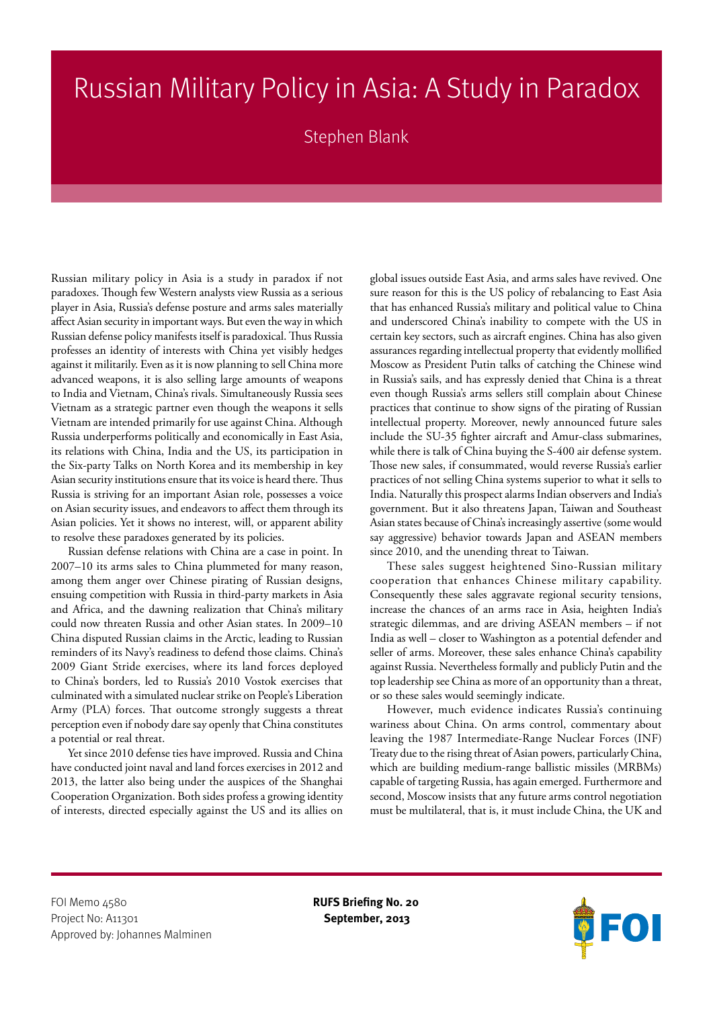## Russian Military Policy in Asia: A Study in Paradox

Stephen Blank

Russian military policy in Asia is a study in paradox if not paradoxes. Though few Western analysts view Russia as a serious player in Asia, Russia's defense posture and arms sales materially affect Asian security in important ways. But even the way in which Russian defense policy manifests itself is paradoxical. Thus Russia professes an identity of interests with China yet visibly hedges against it militarily. Even as it is now planning to sell China more advanced weapons, it is also selling large amounts of weapons to India and Vietnam, China's rivals. Simultaneously Russia sees Vietnam as a strategic partner even though the weapons it sells Vietnam are intended primarily for use against China. Although Russia underperforms politically and economically in East Asia, its relations with China, India and the US, its participation in the Six-party Talks on North Korea and its membership in key Asian security institutions ensure that its voice is heard there. Thus Russia is striving for an important Asian role, possesses a voice on Asian security issues, and endeavors to affect them through its Asian policies. Yet it shows no interest, will, or apparent ability to resolve these paradoxes generated by its policies.

Russian defense relations with China are a case in point. In 2007–10 its arms sales to China plummeted for many reason, among them anger over Chinese pirating of Russian designs, ensuing competition with Russia in third-party markets in Asia and Africa, and the dawning realization that China's military could now threaten Russia and other Asian states. In 2009–10 China disputed Russian claims in the Arctic, leading to Russian reminders of its Navy's readiness to defend those claims. China's 2009 Giant Stride exercises, where its land forces deployed to China's borders, led to Russia's 2010 Vostok exercises that culminated with a simulated nuclear strike on People's Liberation Army (PLA) forces. That outcome strongly suggests a threat perception even if nobody dare say openly that China constitutes a potential or real threat.

Yet since 2010 defense ties have improved. Russia and China have conducted joint naval and land forces exercises in 2012 and 2013, the latter also being under the auspices of the Shanghai Cooperation Organization. Both sides profess a growing identity of interests, directed especially against the US and its allies on

global issues outside East Asia, and arms sales have revived. One sure reason for this is the US policy of rebalancing to East Asia that has enhanced Russia's military and political value to China and underscored China's inability to compete with the US in certain key sectors, such as aircraft engines. China has also given assurances regarding intellectual property that evidently mollified Moscow as President Putin talks of catching the Chinese wind in Russia's sails, and has expressly denied that China is a threat even though Russia's arms sellers still complain about Chinese practices that continue to show signs of the pirating of Russian intellectual property. Moreover, newly announced future sales include the SU-35 fighter aircraft and Amur-class submarines, while there is talk of China buying the S-400 air defense system. Those new sales, if consummated, would reverse Russia's earlier practices of not selling China systems superior to what it sells to India. Naturally this prospect alarms Indian observers and India's government. But it also threatens Japan, Taiwan and Southeast Asian states because of China's increasingly assertive (some would say aggressive) behavior towards Japan and ASEAN members since 2010, and the unending threat to Taiwan.

These sales suggest heightened Sino-Russian military cooperation that enhances Chinese military capability. Consequently these sales aggravate regional security tensions, increase the chances of an arms race in Asia, heighten India's strategic dilemmas, and are driving ASEAN members – if not India as well – closer to Washington as a potential defender and seller of arms. Moreover, these sales enhance China's capability against Russia. Nevertheless formally and publicly Putin and the top leadership see China as more of an opportunity than a threat, or so these sales would seemingly indicate.

However, much evidence indicates Russia's continuing wariness about China. On arms control, commentary about leaving the 1987 Intermediate-Range Nuclear Forces (INF) Treaty due to the rising threat of Asian powers, particularly China, which are building medium-range ballistic missiles (MRBMs) capable of targeting Russia, has again emerged. Furthermore and second, Moscow insists that any future arms control negotiation must be multilateral, that is, it must include China, the UK and

FOI Memo <sub>45</sub>80 **RUFS Briefing No. 20** Project No: A11301 **September, 2013** Approved by: Johannes Malminen